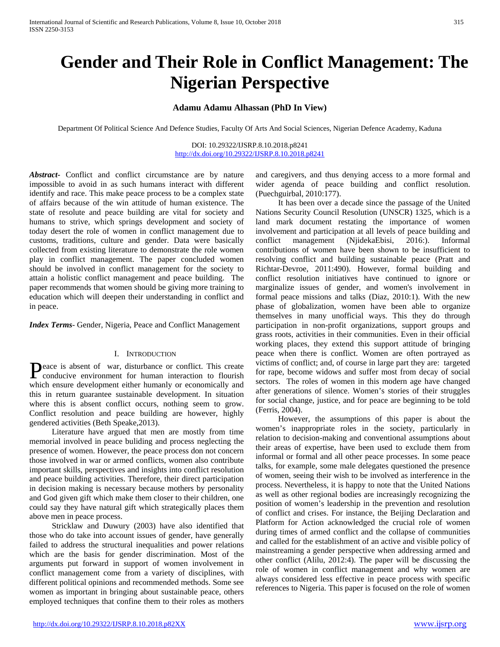# **Gender and Their Role in Conflict Management: The Nigerian Perspective**

## **Adamu Adamu Alhassan (PhD In View)**

Department Of Political Science And Defence Studies, Faculty Of Arts And Social Sciences, Nigerian Defence Academy, Kaduna

DOI: 10.29322/IJSRP.8.10.2018.p8241 <http://dx.doi.org/10.29322/IJSRP.8.10.2018.p8241>

*Abstract***-** Conflict and conflict circumstance are by nature impossible to avoid in as such humans interact with different identify and race. This make peace process to be a complex state of affairs because of the win attitude of human existence. The state of resolute and peace building are vital for society and humans to strive, which springs development and society of today desert the role of women in conflict management due to customs, traditions, culture and gender. Data were basically collected from existing literature to demonstrate the role women play in conflict management. The paper concluded women should be involved in conflict management for the society to attain a holistic conflict management and peace building. The paper recommends that women should be giving more training to education which will deepen their understanding in conflict and in peace.

*Index Terms*- Gender, Nigeria, Peace and Conflict Management

### I. INTRODUCTION

eace is absent of war, disturbance or conflict. This create Peace is absent of war, disturbance or conflict. This create conducive environment for human interaction to flourish which ensure development either humanly or economically and this in return guarantee sustainable development. In situation where this is absent conflict occurs, nothing seem to grow. Conflict resolution and peace building are however, highly gendered activities (Beth Speake,2013).

 Literature have argued that men are mostly from time memorial involved in peace buliding and process neglecting the presence of women. However, the peace process don not concern those involved in war or armed conflicts, women also contribute important skills, perspectives and insights into conflict resolution and peace building activities. Therefore, their direct participation in decision making is necessary because mothers by personality and God given gift which make them closer to their children, one could say they have natural gift which strategically places them above men in peace process.

 Stricklaw and Duwury (2003) have also identified that those who do take into account issues of gender, have generally failed to address the structural inequalities and power relations which are the basis for gender discrimination. Most of the arguments put forward in support of women involvement in conflict management come from a variety of disciplines, with different political opinions and recommended methods. Some see women as important in bringing about sustainable peace, others employed techniques that confine them to their roles as mothers

and caregivers, and thus denying access to a more formal and wider agenda of peace building and conflict resolution. (Puechguirbal, 2010:177).

 It has been over a decade since the passage of the United Nations Security Council Resolution (UNSCR) 1325, which is a land mark document restating the importance of women involvement and participation at all levels of peace building and conflict management (NjidekaEbisi, 2016:). Informal contributions of women have been shown to be insufficient to resolving conflict and building sustainable peace (Pratt and Richtar-Devroe, 2011:490). However, formal building and conflict resolution initiatives have continued to ignore or marginalize issues of gender, and women's involvement in formal peace missions and talks (Diaz, 2010:1). With the new phase of globalization, women have been able to organize themselves in many unofficial ways. This they do through participation in non-profit organizations, support groups and grass roots, activities in their communities. Even in their official working places, they extend this support attitude of bringing peace when there is conflict. Women are often portrayed as victims of conflict; and, of course in large part they are: targeted for rape, become widows and suffer most from decay of social sectors. The roles of women in this modern age have changed after generations of silence. Women's stories of their struggles for social change, justice, and for peace are beginning to be told (Ferris, 2004).

 However, the assumptions of this paper is about the women's inappropriate roles in the society, particularly in relation to decision-making and conventional assumptions about their areas of expertise, have been used to exclude them from informal or formal and all other peace processes. In some peace talks, for example, some male delegates questioned the presence of women, seeing their wish to be involved as interference in the process. Nevertheless, it is happy to note that the United Nations as well as other regional bodies are increasingly recognizing the position of women's leadership in the prevention and resolution of conflict and crises. For instance, the Beijing Declaration and Platform for Action acknowledged the crucial role of women during times of armed conflict and the collapse of communities and called for the establishment of an active and visible policy of mainstreaming a gender perspective when addressing armed and other conflict (Alilu, 2012:4). The paper will be discussing the role of women in conflict management and why women are always considered less effective in peace process with specific references to Nigeria. This paper is focused on the role of women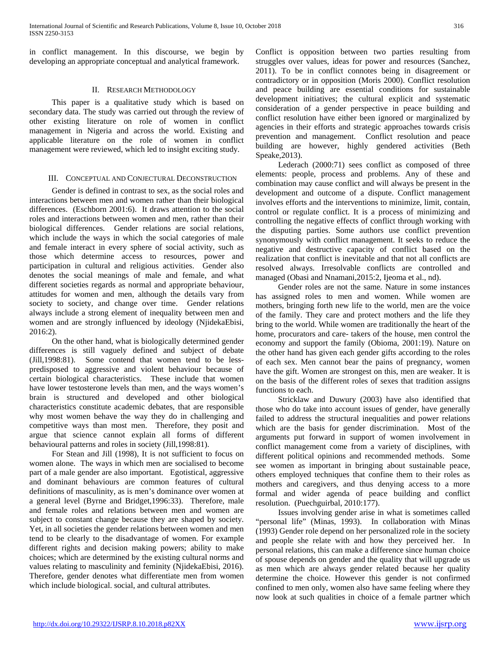in conflict management. In this discourse, we begin by developing an appropriate conceptual and analytical framework.

## II. RESEARCH METHODOLOGY

 This paper is a qualitative study which is based on secondary data. The study was carried out through the review of other existing literature on role of women in conflict management in Nigeria and across the world. Existing and applicable literature on the role of women in conflict management were reviewed, which led to insight exciting study.

## III. CONCEPTUAL AND CONJECTURAL DECONSTRUCTION

 Gender is defined in contrast to sex, as the social roles and interactions between men and women rather than their biological differences. (Eschborn 2001:6). It draws attention to the social roles and interactions between women and men, rather than their biological differences. Gender relations are social relations, which include the ways in which the social categories of male and female interact in every sphere of social activity, such as those which determine access to resources, power and participation in cultural and religious activities. Gender also denotes the social meanings of male and female, and what different societies regards as normal and appropriate behaviour, attitudes for women and men, although the details vary from society to society, and change over time. Gender relations always include a strong element of inequality between men and women and are strongly influenced by ideology (NjidekaEbisi, 2016:2).

 On the other hand, what is biologically determined gender differences is still vaguely defined and subject of debate (Jill,1998:81). Some contend that women tend to be lesspredisposed to aggressive and violent behaviour because of certain biological characteristics. These include that women have lower testosterone levels than men, and the ways women's brain is structured and developed and other biological characteristics constitute academic debates, that are responsible why most women behave the way they do in challenging and competitive ways than most men. Therefore, they posit and argue that science cannot explain all forms of different behavioural patterns and roles in society (Jill,1998:81).

 For Stean and Jill (1998), It is not sufficient to focus on women alone. The ways in which men are socialised to become part of a male gender are also important. Egotistical, aggressive and dominant behaviours are common features of cultural definitions of masculinity, as is men's dominance over women at a general level (Byrne and Bridget,1996:33). Therefore, male and female roles and relations between men and women are subject to constant change because they are shaped by society. Yet, in all societies the gender relations between women and men tend to be clearly to the disadvantage of women. For example different rights and decision making powers; ability to make choices; which are determined by the existing cultural norms and values relating to masculinity and feminity (NjidekaEbisi, 2016). Therefore, gender denotes what differentiate men from women which include biological. social, and cultural attributes.

Conflict is opposition between two parties resulting from struggles over values, ideas for power and resources (Sanchez, 2011). To be in conflict connotes being in disagreement or contradictory or in opposition (Moris 2000). Conflict resolution and peace building are essential conditions for sustainable development initiatives; the cultural explicit and systematic consideration of a gender perspective in peace building and conflict resolution have either been ignored or marginalized by agencies in their efforts and strategic approaches towards crisis prevention and management. Conflict resolution and peace building are however, highly gendered activities (Beth Speake,2013).

 Lederach (2000:71) sees conflict as composed of three elements: people, process and problems. Any of these and combination may cause conflict and will always be present in the development and outcome of a dispute. Conflict management involves efforts and the interventions to minimize, limit, contain, control or regulate conflict. It is a process of minimizing and controlling the negative effects of conflict through working with the disputing parties. Some authors use conflict prevention synonymously with conflict management. It seeks to reduce the negative and destructive capacity of conflict based on the realization that conflict is inevitable and that not all conflicts are resolved always. Irresolvable conflicts are controlled and managed (Obasi and Nnamani,2015:2, Ijeoma et al., nd).

 Gender roles are not the same. Nature in some instances has assigned roles to men and women. While women are mothers, bringing forth new life to the world, men are the voice of the family. They care and protect mothers and the life they bring to the world. While women are traditionally the heart of the home, procurators and care- takers of the house, men control the economy and support the family (Obioma, 2001:19). Nature on the other hand has given each gender gifts according to the roles of each sex. Men cannot bear the pains of pregnancy, women have the gift. Women are strongest on this, men are weaker. It is on the basis of the different roles of sexes that tradition assigns functions to each.

 Stricklaw and Duwury (2003) have also identified that those who do take into account issues of gender, have generally failed to address the structural inequalities and power relations which are the basis for gender discrimination. Most of the arguments put forward in support of women involvement in conflict management come from a variety of disciplines, with different political opinions and recommended methods. Some see women as important in bringing about sustainable peace, others employed techniques that confine them to their roles as mothers and caregivers, and thus denying access to a more formal and wider agenda of peace building and conflict resolution. (Puechguirbal, 2010:177).

 Issues involving gender arise in what is sometimes called "personal life" (Minas, 1993). In collaboration with Minas (1993) Gender role depend on her personalized role in the society and people she relate with and how they perceived her. In personal relations, this can make a difference since human choice of spouse depends on gender and the quality that will upgrade us as men which are always gender related because her quality determine the choice. However this gender is not confirmed confined to men only, women also have same feeling where they now look at such qualities in choice of a female partner which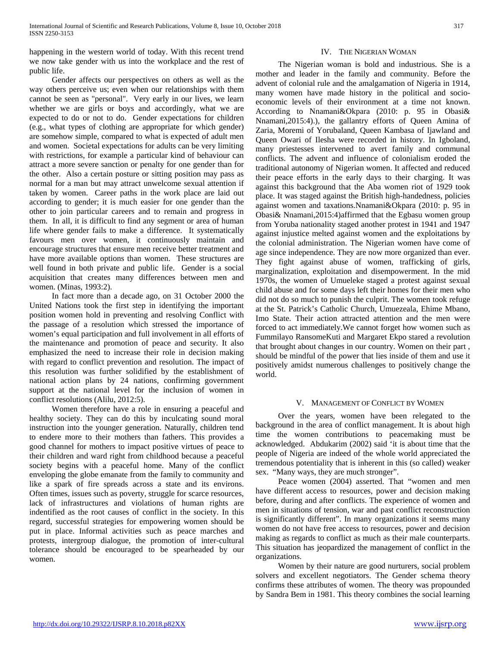happening in the western world of today. With this recent trend we now take gender with us into the workplace and the rest of public life.

 Gender affects our perspectives on others as well as the way others perceive us; even when our relationships with them cannot be seen as "personal". Very early in our lives, we learn whether we are girls or boys and accordingly, what we are expected to do or not to do. Gender expectations for children (e.g., what types of clothing are appropriate for which gender) are somehow simple, compared to what is expected of adult men and women. Societal expectations for adults can be very limiting with restrictions, for example a particular kind of behaviour can attract a more severe sanction or penalty for one gender than for the other. Also a certain posture or sitting position may pass as normal for a man but may attract unwelcome sexual attention if taken by women. Career paths in the work place are laid out according to gender; it is much easier for one gender than the other to join particular careers and to remain and progress in them. In all, it is difficult to find any segment or area of human life where gender fails to make a difference. It systematically favours men over women, it continuously maintain and encourage structures that ensure men receive better treatment and have more available options than women. These structures are well found in both private and public life. Gender is a social acquisition that creates many differences between men and women. (Minas, 1993:2).

 In fact more than a decade ago, on 31 October 2000 the United Nations took the first step in identifying the important position women hold in preventing and resolving Conflict with the passage of a resolution which stressed the importance of women's equal participation and full involvement in all efforts of the maintenance and promotion of peace and security. It also emphasized the need to increase their role in decision making with regard to conflict prevention and resolution. The impact of this resolution was further solidified by the establishment of national action plans by 24 nations, confirming government support at the national level for the inclusion of women in conflict resolutions (Alilu, 2012:5).

 Women therefore have a role in ensuring a peaceful and healthy society. They can do this by inculcating sound moral instruction into the younger generation. Naturally, children tend to endere more to their mothers than fathers. This provides a good channel for mothers to impact positive virtues of peace to their children and ward right from childhood because a peaceful society begins with a peaceful home. Many of the conflict enveloping the globe emanate from the family to community and like a spark of fire spreads across a state and its environs. Often times, issues such as poverty, struggle for scarce resources, lack of infrastructures and violations of human rights are indentified as the root causes of conflict in the society. In this regard, successful strategies for empowering women should be put in place. Informal activities such as peace marches and protests, intergroup dialogue, the promotion of inter-cultural tolerance should be encouraged to be spearheaded by our women.

## IV. THE NIGERIAN WOMAN

 The Nigerian woman is bold and industrious. She is a mother and leader in the family and community. Before the advent of colonial rule and the amalgamation of Nigeria in 1914, many women have made history in the political and socioeconomic levels of their environment at a time not known. According to Nnamani&Okpara (2010: p. 95 in Obasi& Nnamani,2015:4).), the gallantry efforts of Queen Amina of Zaria, Moremi of Yorubaland, Queen Kambasa of Ijawland and Queen Owari of Ilesha were recorded in history. In Igboland, many priestesses intervened to avert family and communal conflicts. The advent and influence of colonialism eroded the traditional autonomy of Nigerian women. It affected and reduced their peace efforts in the early days to their charging. It was against this background that the Aba women riot of 1929 took place. It was staged against the British high-handedness, policies against women and taxations.Nnamani&Okpara (2010: p. 95 in Obasi& Nnamani,2015:4)affirmed that the Egbasu women group from Yoruba nationality staged another protest in 1941 and 1947 against injustice melted against women and the exploitations by the colonial administration. The Nigerian women have come of age since independence. They are now more organized than ever. They fight against abuse of women, trafficking of girls, marginalization, exploitation and disempowerment. In the mid 1970s, the women of Umueleke staged a protest against sexual child abuse and for some days left their homes for their men who did not do so much to punish the culprit. The women took refuge at the St. Patrick's Catholic Church, Umuezeala, Ehime Mbano, Imo State. Their action attracted attention and the men were forced to act immediately.We cannot forget how women such as Fummilayo RansomeKuti and Margaret Ekpo stared a revolution that brought about changes in our country. Women on their part , should be mindful of the power that lies inside of them and use it positively amidst numerous challenges to positively change the world.

#### V. MANAGEMENT OF CONFLICT BY WOMEN

 Over the years, women have been relegated to the background in the area of conflict management. It is about high time the women contributions to peacemaking must be acknowledged. Abdukarim (2002) said 'it is about time that the people of Nigeria are indeed of the whole world appreciated the tremendous potentiality that is inherent in this (so called) weaker sex. "Many ways, they are much stronger".

 Peace women (2004) asserted. That "women and men have different access to resources, power and decision making before, during and after conflicts. The experience of women and men in situations of tension, war and past conflict reconstruction is significantly different". In many organizations it seems many women do not have free access to resources, power and decision making as regards to conflict as much as their male counterparts. This situation has jeopardized the management of conflict in the organizations.

 Women by their nature are good nurturers, social problem solvers and excellent negotiators. The Gender schema theory confirms these attributes of women. The theory was propounded by Sandra Bem in 1981. This theory combines the social learning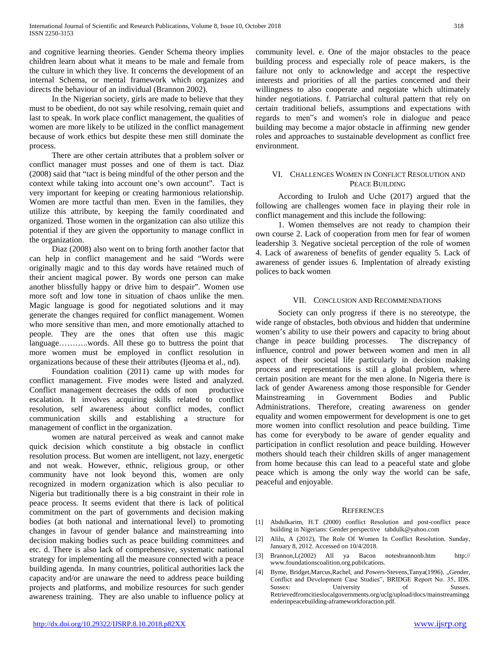and cognitive learning theories. Gender Schema theory implies children learn about what it means to be male and female from the culture in which they live. It concerns the development of an internal Schema, or mental framework which organizes and directs the behaviour of an individual (Brannon 2002).

 In the Nigerian society, girls are made to believe that they must to be obedient, do not say while resolving, remain quiet and last to speak. In work place conflict management, the qualities of women are more likely to be utilized in the conflict management because of work ethics but despite these men still dominate the process.

 There are other certain attributes that a problem solver or conflict manager must posses and one of them is tact. Diaz (2008) said that "tact is being mindful of the other person and the context while taking into account one's own account". Tact is very important for keeping or creating harmonious relationship. Women are more tactful than men. Even in the families, they utilize this attribute, by keeping the family coordinated and organized. Those women in the organization can also utilize this potential if they are given the opportunity to manage conflict in the organization.

 Diaz (2008) also went on to bring forth another factor that can help in conflict management and he said "Words were originally magic and to this day words have retained much of their ancient magical power. By words one person can make another blissfully happy or drive him to despair". Women use more soft and low tone in situation of chaos unlike the men. Magic language is good for negotiated solutions and it may generate the changes required for conflict management. Women who more sensitive than men, and more emotionally attached to people. They are the ones that often use this magic language………..words. All these go to buttress the point that more women must be employed in conflict resolution in organizations because of these their attributes (Ijeoma et al., nd).

 Foundation coalition (2011) came up with modes for conflict management. Five modes were listed and analyzed. Conflict management decreases the odds of non productive escalation. It involves acquiring skills related to conflict resolution, self awareness about conflict modes, conflict communication skills and establishing a structure for management of conflict in the organization.

 women are natural perceived as weak and cannot make quick decision which constitute a big obstacle in conflict resolution process. But women are intelligent, not lazy, energetic and not weak. However, ethnic, religious group, or other community have not look beyond this, women are only recognized in modern organization which is also peculiar to Nigeria but traditionally there is a big constraint in their role in peace process. It seems evident that there is lack of political commitment on the part of governments and decision making bodies (at both national and international level) to promoting changes in favour of gender balance and mainstreaming into decision making bodies such as peace building committees and etc. d. There is also lack of comprehensive, systematic national strategy for implementing all the measure connected with a peace building agenda. In many countries, political authorities lack the capacity and/or are unaware the need to address peace building projects and platforms, and mobilize resources for such gender awareness training. They are also unable to influence policy at

community level. e. One of the major obstacles to the peace building process and especially role of peace makers, is the failure not only to acknowledge and accept the respective interests and priorities of all the parties concerned and their willingness to also cooperate and negotiate which ultimately hinder negotiations. f. Patriarchal cultural pattern that rely on certain traditional beliefs, assumptions and expectations with regards to men"s and women's role in dialogue and peace building may become a major obstacle in affirming new gender roles and approaches to sustainable development as conflict free environment.

## VI. CHALLENGES WOMEN IN CONFLICT RESOLUTION AND PEACE BUILDING

 According to Iruloh and Uche (2017) argued that the following are challenges women face in playing their role in conflict management and this include the following:

 1. Women themselves are not ready to champion their own course 2. Lack of cooperation from men for fear of women leadership 3. Negative societal perception of the role of women 4. Lack of awareness of benefits of gender equality 5. Lack of awareness of gender issues 6. Implentation of already existing polices to back women

## VII. CONCLUSION AND RECOMMENDATIONS

 Society can only progress if there is no stereotype, the wide range of obstacles, both obvious and hidden that undermine women's ability to use their powers and capacity to bring about change in peace building processes. The discrepancy of influence, control and power between women and men in all aspect of their societal life particularly in decision making process and representations is still a global problem, where certain position are meant for the men alone. In Nigeria there is lack of gender Awareness among those responsible for Gender Mainstreaming in Government Bodies and Public Administrations. Therefore, creating awareness on gender equality and women empowerment for development is one to get more women into conflict resolution and peace building. Time has come for everybody to be aware of gender equality and participation in conflict resolution and peace building. However mothers should teach their children skills of anger management from home because this can lead to a peaceful state and globe peace which is among the only way the world can be safe, peaceful and enjoyable.

#### **REFERENCES**

- [1] Abdulkarim, H.T (2000) conflict Resolution and post-conflict peace building in Nigerians: Gender perspective tabdulk@yahoo.com
- [2] Alilu, A (2012), The Role Of Women In Conflict Resolution. Sunday, January 8, 2012. Accessed on 10/4/2018.
- [3] Brannon,L(2002) All ya Bacon notesbrannonb.htm http:// www.foundationscoalition.org.pubilcations.
- [4] Byme, Bridget, Marcus, Rachel, and Powers-Stevens, Tanya(1996). "Gender, Conflict and Development Case Studies", BRIDGE Report No. 35, IDS. Sussex: University of Sussex. Retrievedfromcitieslocalgovernments.org/uclg/upload/docs/mainstreamingg enderinpeacebuilding-aframeworkforaction.pdf.